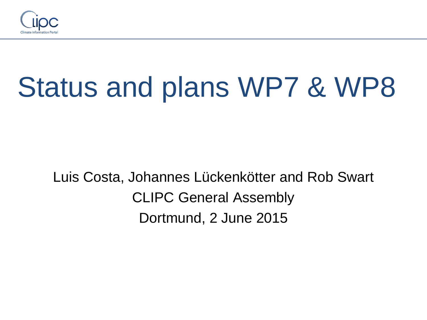

# Status and plans WP7 & WP8

Luis Costa, Johannes Lückenkötter and Rob Swart CLIPC General Assembly Dortmund, 2 June 2015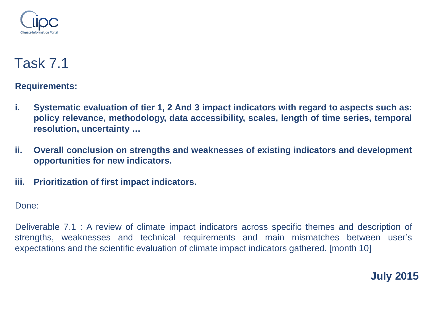

**Requirements:**

- **i. Systematic evaluation of tier 1, 2 And 3 impact indicators with regard to aspects such as: policy relevance, methodology, data accessibility, scales, length of time series, temporal resolution, uncertainty …**
- **ii. Overall conclusion on strengths and weaknesses of existing indicators and development opportunities for new indicators.**
- **iii. Prioritization of first impact indicators.**

Done:

Deliverable 7.1 : A review of climate impact indicators across specific themes and description of strengths, weaknesses and technical requirements and main mismatches between user's expectations and the scientific evaluation of climate impact indicators gathered. [month 10]

**July 2015**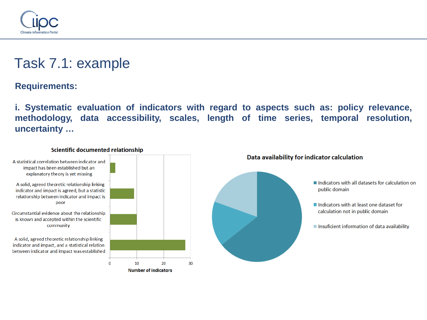

# Task 7.1: example

**Requirements:**

**i. Systematic evaluation of indicators with regard to aspects such as: policy relevance, methodology, data accessibility, scales, length of time series, temporal resolution, uncertainty …**

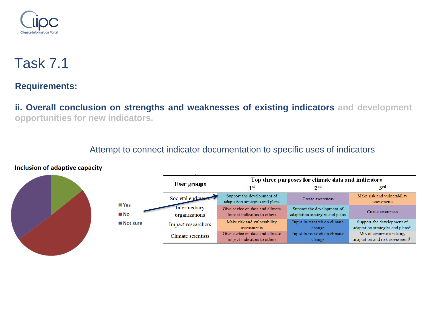

**Requirements:**

**ii. Overall conclusion on strengths and weaknesses of existing indicators and development opportunities for new indicators.**

#### Attempt to connect indicator documentation to specific uses of indicators





|                         |                               | Top three purposes for climate data and indicators             |                                                               |                                                                             |  |
|-------------------------|-------------------------------|----------------------------------------------------------------|---------------------------------------------------------------|-----------------------------------------------------------------------------|--|
|                         | User groups                   | 1 <sub>st</sub>                                                | 2 <sub>nd</sub>                                               | 3 <sup>rd</sup>                                                             |  |
| $\blacksquare$ Yes      | Societal end users            | Support the development of<br>adaptation strategies and plans  | Create awareness                                              | Make risk and vulnerability<br>assessments                                  |  |
| ■ No                    | Intermediary<br>organizations | Give advice on data and climate<br>impact indicators to others | Support the development of<br>adaptation strategies and plans | Create awareness                                                            |  |
| $\blacksquare$ Not sure | Impact researchers            | Make risk and vulnerability<br>assessments                     | Input in research on climate<br>change                        | Support the development of<br>adaptation strategies and plans <sup>13</sup> |  |
|                         | Climate scientists            | Give advice on data and climate<br>impact indicators to others | Input in research on climate<br>change                        | Mix of awareness raising,<br>adaptation and risk assessment <sup>14</sup>   |  |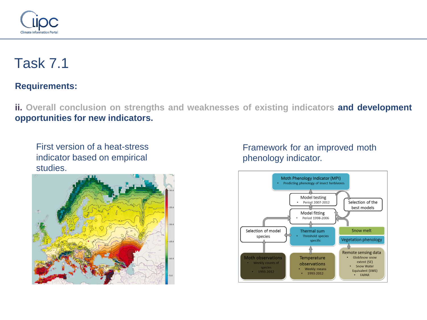

#### **Requirements:**

**ii. Overall conclusion on strengths and weaknesses of existing indicators and development opportunities for new indicators.**

First version of a heat-stress indicator based on empirical studies.



#### Framework for an improved moth phenology indicator.

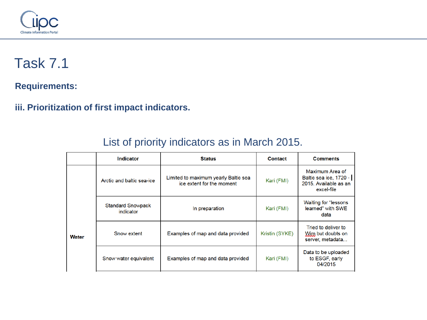

**Requirements:**

**iii. Prioritization of first impact indicators.**

|              | <b>Indicator</b>                      | <b>Status</b>                                                     | <b>Contact</b>                                               | <b>Comments</b>                                                                  |
|--------------|---------------------------------------|-------------------------------------------------------------------|--------------------------------------------------------------|----------------------------------------------------------------------------------|
|              | Arctic and baltic sea-ice             | Limited to maximum yearly Baltic sea<br>ice extent for the moment | Kari (FMI)                                                   | Maximum Area of<br>Baltic sea ice, 1720 -<br>2015. Available as an<br>excel-file |
|              | <b>Standard Snowpack</b><br>indicator | In preparation                                                    | Kari (FMI)                                                   | <b>Waiting for "lessons"</b><br>learned" with SWE<br>data                        |
| <b>Water</b> | Snow extent                           | Examples of map and data provided<br>Kristin (SYKE)               | Tried to deliver to<br>Wim but doubts on<br>server, metadata |                                                                                  |
|              | Snow water equivalent                 | Examples of map and data provided                                 | Kari (FMI)                                                   | Data to be uploaded<br>to ESGF, early<br>04/2015                                 |

#### List of priority indicators as in March 2015.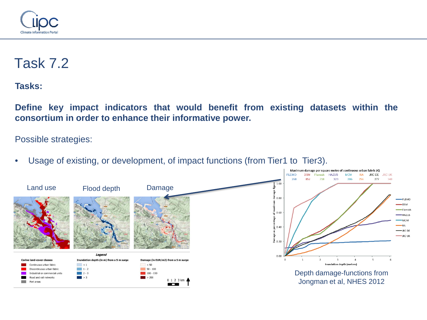

**Tasks:**

**Define key impact indicators that would benefit from existing datasets within the consortium in order to enhance their informative power.**

Possible strategies:

• Usage of existing, or development, of impact functions (from Tier1 to Tier3).

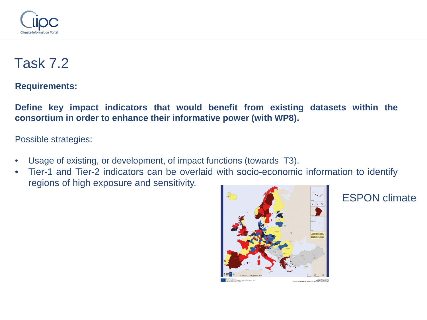

**Requirements:**

**Define key impact indicators that would benefit from existing datasets within the consortium in order to enhance their informative power (with WP8).**

Possible strategies:

- Usage of existing, or development, of impact functions (towards T3).
- Tier-1 and Tier-2 indicators can be overlaid with socio-economic information to identify regions of high exposure and sensitivity.



#### ESPON climate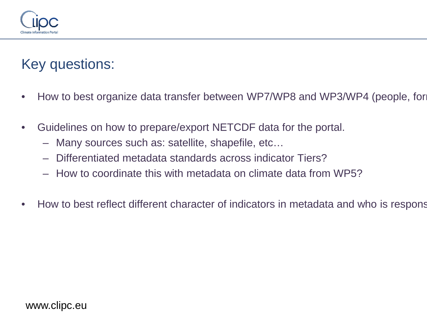

# Key questions:

- How to best organize data transfer between WP7/WP8 and WP3/WP4 (people, for
- Guidelines on how to prepare/export NETCDF data for the portal.
	- Many sources such as: satellite, shapefile, etc…
	- Differentiated metadata standards across indicator Tiers?
	- How to coordinate this with metadata on climate data from WP5?
- How to best reflect different character of indicators in metadata and who is respons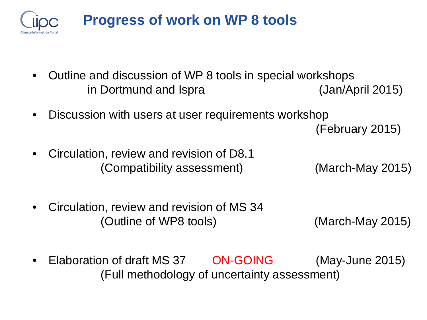

- Outline and discussion of WP 8 tools in special workshops in Dortmund and Ispra (Jan/April 2015)
- Discussion with users at user requirements workshop (February 2015)
- Circulation, review and revision of D8.1 (Compatibility assessment) (March-May 2015)
- Circulation, review and revision of MS 34 (Outline of WP8 tools) (March-May 2015)
- Elaboration of draft MS 37 ON-GOING (May-June 2015) (Full methodology of uncertainty assessment)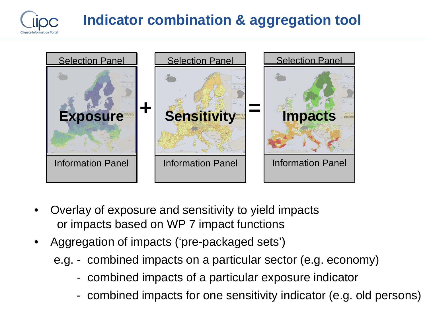

# **Indicator combination & aggregation tool**



- Overlay of exposure and sensitivity to yield impacts or impacts based on WP 7 impact functions
- Aggregation of impacts ('pre-packaged sets')
	- e.g. combined impacts on a particular sector (e.g. economy)
		- combined impacts of a particular exposure indicator
		- combined impacts for one sensitivity indicator (e.g. old persons)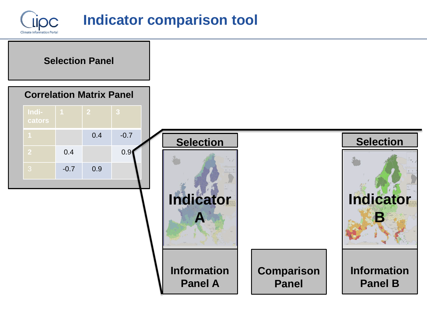



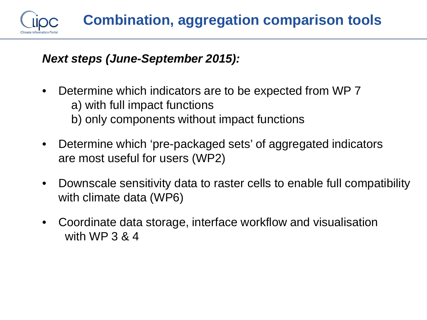

#### *Next steps (June-September 2015):*

- Determine which indicators are to be expected from WP 7 a) with full impact functions
	- b) only components without impact functions
- Determine which 'pre-packaged sets' of aggregated indicators are most useful for users (WP2)
- Downscale sensitivity data to raster cells to enable full compatibility with climate data (WP6)
- Coordinate data storage, interface workflow and visualisation with WP 3 & 4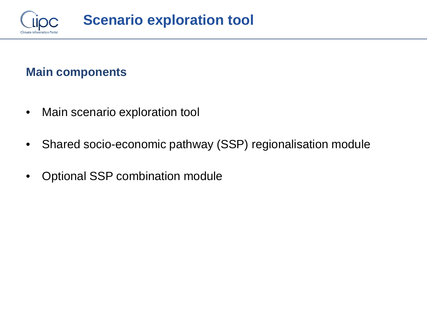

#### **Main components**

- Main scenario exploration tool
- Shared socio-economic pathway (SSP) regionalisation module
- Optional SSP combination module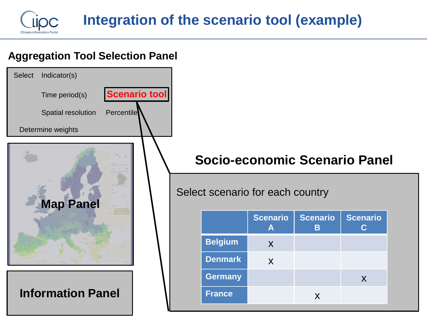

#### **Aggregation Tool Selection Panel**



# **Socio-economic Scenario Panel**

#### Select scenario for each country

|                | <b>Scenario</b><br>А | <b>Scenario</b><br>В | <b>Scenario</b> |
|----------------|----------------------|----------------------|-----------------|
| <b>Belgium</b> | X                    |                      |                 |
| <b>Denmark</b> | X                    |                      |                 |
| <b>Germany</b> |                      |                      | X               |
| <b>France</b>  |                      | X                    |                 |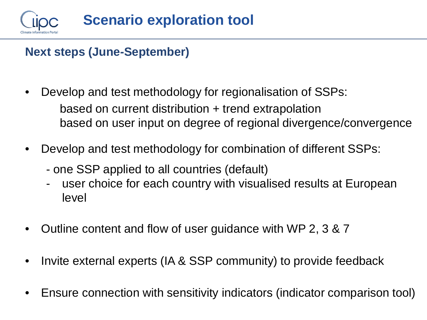

#### **Next steps (June-September)**

- Develop and test methodology for regionalisation of SSPs: based on current distribution + trend extrapolation based on user input on degree of regional divergence/convergence
- Develop and test methodology for combination of different SSPs:
	- one SSP applied to all countries (default)
	- user choice for each country with visualised results at European level
- Outline content and flow of user guidance with WP 2, 3 & 7
- Invite external experts (IA & SSP community) to provide feedback
- Ensure connection with sensitivity indicators (indicator comparison tool)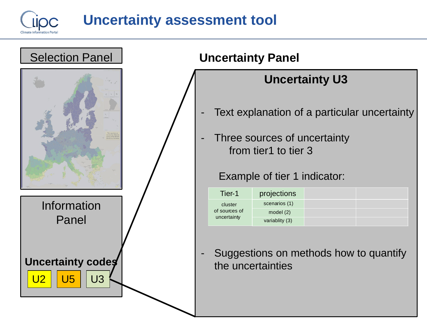

# **Uncertainty assessment tool**



### **Uncertainty U3 Uncertainty Panel** Tier-1 cluster of sources of uncertainty projections scenarios (1) model (2) variablity (3) Text explanation of a particular uncertainty - Three sources of uncertainty from tier1 to tier 3 Example of tier 1 indicator: - Suggestions on methods how to quantify the uncertainties